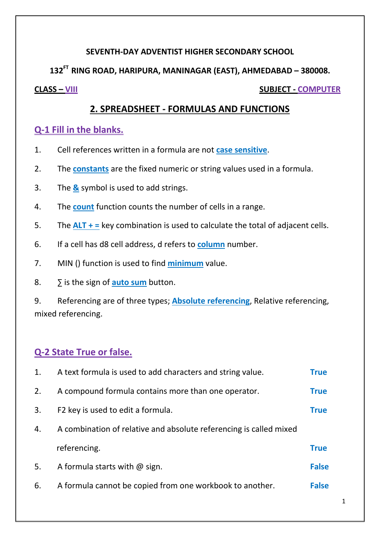#### **SEVENTH-DAY ADVENTIST HIGHER SECONDARY SCHOOL**

**132FT RING ROAD, HARIPURA, MANINAGAR (EAST), AHMEDABAD – 380008.**

**CLASS – VIII SUBJECT - COMPUTER**

## **2. SPREADSHEET - FORMULAS AND FUNCTIONS**

### **Q-1 Fill in the blanks.**

- 1. Cell references written in a formula are not **case sensitive**.
- 2. The **constants** are the fixed numeric or string values used in a formula.
- 3. The **&** symbol is used to add strings.
- 4. The **count** function counts the number of cells in a range.
- 5. The **ALT + =** key combination is used to calculate the total of adjacent cells.
- 6. If a cell has d8 cell address, d refers to **column** number.
- 7. MIN () function is used to find **minimum** value.
- 8. ∑ is the sign of **auto sum** button.

9. Referencing are of three types; **Absolute referencing**, Relative referencing, mixed referencing.

# **Q-2 State True or false.**

| 1. | A text formula is used to add characters and string value.         | <b>True</b>  |  |
|----|--------------------------------------------------------------------|--------------|--|
| 2. | A compound formula contains more than one operator.                | <b>True</b>  |  |
| 3. | F2 key is used to edit a formula.                                  | <b>True</b>  |  |
| 4. | A combination of relative and absolute referencing is called mixed |              |  |
|    | referencing.                                                       | <b>True</b>  |  |
| 5. | A formula starts with $\omega$ sign.                               | <b>False</b> |  |
| 6. | A formula cannot be copied from one workbook to another.           | <b>False</b> |  |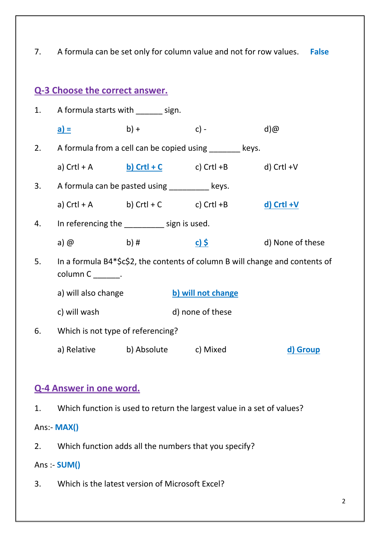7. A formula can be set only for column value and not for row values. **False**

# **Q-3 Choose the correct answer.**

| 1. | A formula starts with _______ sign.                                                                 |                                   |                                                                            |                   |  |
|----|-----------------------------------------------------------------------------------------------------|-----------------------------------|----------------------------------------------------------------------------|-------------------|--|
|    | <u>a) =</u>                                                                                         | $b) +$                            | $c$ ) -                                                                    | d)@               |  |
| 2. | A formula from a cell can be copied using ________ keys.                                            |                                   |                                                                            |                   |  |
|    |                                                                                                     |                                   | a) Crtl + A $\qquad$ b) Crtl + C $\qquad$ c) Crtl + B $\qquad$ d) Crtl + V |                   |  |
| 3. | A formula can be pasted using __________ keys.                                                      |                                   |                                                                            |                   |  |
|    |                                                                                                     |                                   | a) $Crtl + A$ b) $Crtl + C$ c) $Crtl + B$                                  | <u>d) Crtl +V</u> |  |
| 4. | In referencing the _________ sign is used.                                                          |                                   |                                                                            |                   |  |
|    | a) @                                                                                                | b) #                              | <u>c) \$</u>                                                               | d) None of these  |  |
| 5. | In a formula B4*\$c\$2, the contents of column B will change and contents of<br>$column C$ _______. |                                   |                                                                            |                   |  |
|    | a) will also change                                                                                 |                                   | b) will not change                                                         |                   |  |
|    | c) will wash                                                                                        |                                   | d) none of these                                                           |                   |  |
| 6. |                                                                                                     | Which is not type of referencing? |                                                                            |                   |  |
|    | a) Relative b) Absolute c) Mixed                                                                    |                                   |                                                                            | d) Group          |  |

### **Q-4 Answer in one word.**

1. Which function is used to return the largest value in a set of values?

Ans:- **MAX()**

2. Which function adds all the numbers that you specify?

Ans :- **SUM()**

3. Which is the latest version of Microsoft Excel?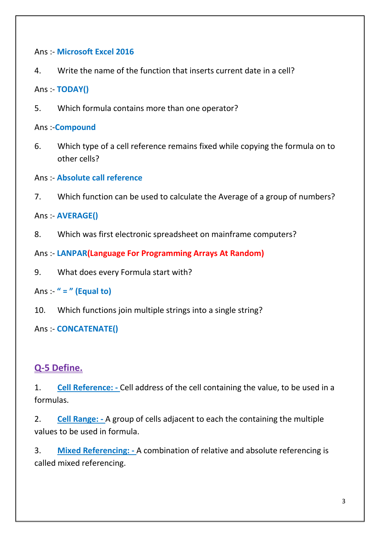#### Ans :- **Microsoft Excel 2016**

4. Write the name of the function that inserts current date in a cell?

Ans :- **TODAY()**

5. Which formula contains more than one operator?

Ans :-**Compound**

- 6. Which type of a cell reference remains fixed while copying the formula on to other cells?
- Ans :- **Absolute call reference**
- 7. Which function can be used to calculate the Average of a group of numbers?

Ans :- **AVERAGE()**

- 8. Which was first electronic spreadsheet on mainframe computers?
- Ans :- **LANPAR(Language For Programming Arrays At Random)**
- 9. What does every Formula start with?

Ans :- **" = " (Equal to)**

10. Which functions join multiple strings into a single string?

Ans :- **CONCATENATE()**

### **Q-5 Define.**

1. **Cell Reference: -** Cell address of the cell containing the value, to be used in a formulas.

2. **Cell Range: -** A group of cells adjacent to each the containing the multiple values to be used in formula.

3. **Mixed Referencing: -** A combination of relative and absolute referencing is called mixed referencing.